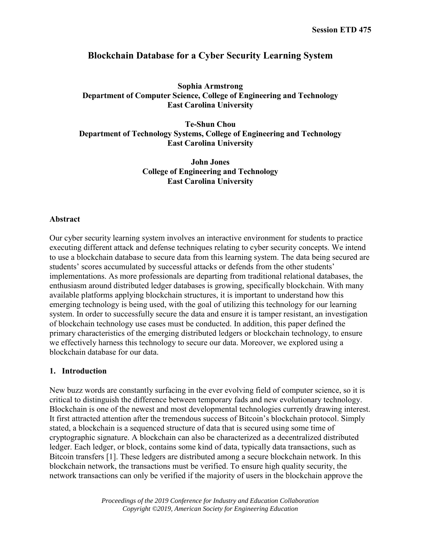# **Blockchain Database for a Cyber Security Learning System**

# **Sophia Armstrong Department of Computer Science, College of Engineering and Technology East Carolina University**

**Te-Shun Chou Department of Technology Systems, College of Engineering and Technology East Carolina University**

> **John Jones College of Engineering and Technology East Carolina University**

#### **Abstract**

Our cyber security learning system involves an interactive environment for students to practice executing different attack and defense techniques relating to cyber security concepts. We intend to use a blockchain database to secure data from this learning system. The data being secured are students' scores accumulated by successful attacks or defends from the other students' implementations. As more professionals are departing from traditional relational databases, the enthusiasm around distributed ledger databases is growing, specifically blockchain. With many available platforms applying blockchain structures, it is important to understand how this emerging technology is being used, with the goal of utilizing this technology for our learning system. In order to successfully secure the data and ensure it is tamper resistant, an investigation of blockchain technology use cases must be conducted. In addition, this paper defined the primary characteristics of the emerging distributed ledgers or blockchain technology, to ensure we effectively harness this technology to secure our data. Moreover, we explored using a blockchain database for our data.

#### **1. Introduction**

New buzz words are constantly surfacing in the ever evolving field of computer science, so it is critical to distinguish the difference between temporary fads and new evolutionary technology. Blockchain is one of the newest and most developmental technologies currently drawing interest. It first attracted attention after the tremendous success of Bitcoin's blockchain protocol. Simply stated, a blockchain is a sequenced structure of data that is secured using some time of cryptographic signature. A blockchain can also be characterized as a decentralized distributed ledger. Each ledger, or block, contains some kind of data, typically data transactions, such as Bitcoin transfers [1]. These ledgers are distributed among a secure blockchain network. In this blockchain network, the transactions must be verified. To ensure high quality security, the network transactions can only be verified if the majority of users in the blockchain approve the

> *Proceedings of the 2019 Conference for Industry and Education Collaboration Copyright ©2019, American Society for Engineering Education*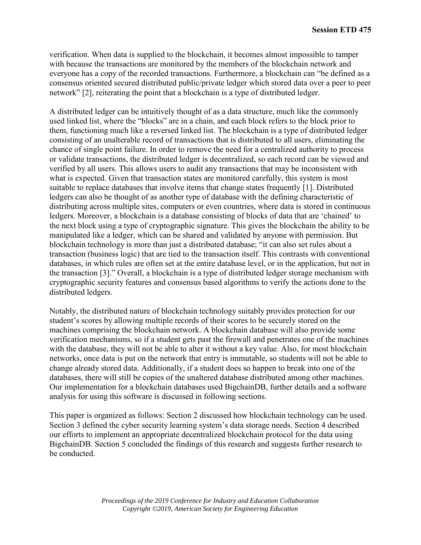verification. When data is supplied to the blockchain, it becomes almost impossible to tamper with because the transactions are monitored by the members of the blockchain network and everyone has a copy of the recorded transactions. Furthermore, a blockchain can "be defined as a consensus oriented secured distributed public/private ledger which stored data over a peer to peer network" [2], reiterating the point that a blockchain is a type of distributed ledger.

A distributed ledger can be intuitively thought of as a data structure, much like the commonly used linked list, where the "blocks" are in a chain, and each block refers to the block prior to them, functioning much like a reversed linked list. The blockchain is a type of distributed ledger consisting of an unalterable record of transactions that is distributed to all users, eliminating the chance of single point failure. In order to remove the need for a centralized authority to process or validate transactions, the distributed ledger is decentralized, so each record can be viewed and verified by all users. This allows users to audit any transactions that may be inconsistent with what is expected. Given that transaction states are monitored carefully, this system is most suitable to replace databases that involve items that change states frequently [1]. Distributed ledgers can also be thought of as another type of database with the defining characteristic of distributing across multiple sites, computers or even countries, where data is stored in continuous ledgers. Moreover, a blockchain is a database consisting of blocks of data that are 'chained' to the next block using a type of cryptographic signature. This gives the blockchain the ability to be manipulated like a ledger, which can be shared and validated by anyone with permission. But blockchain technology is more than just a distributed database; "it can also set rules about a transaction (business logic) that are tied to the transaction itself. This contrasts with conventional databases, in which rules are often set at the entire database level, or in the application, but not in the transaction [3]." Overall, a blockchain is a type of distributed ledger storage mechanism with cryptographic security features and consensus based algorithms to verify the actions done to the distributed ledgers.

Notably, the distributed nature of blockchain technology suitably provides protection for our student's scores by allowing multiple records of their scores to be securely stored on the machines comprising the blockchain network. A blockchain database will also provide some verification mechanisms, so if a student gets past the firewall and penetrates one of the machines with the database, they will not be able to alter it without a key value. Also, for most blockchain networks, once data is put on the network that entry is immutable, so students will not be able to change already stored data. Additionally, if a student does so happen to break into one of the databases, there will still be copies of the unaltered database distributed among other machines. Our implementation for a blockchain databases used BigchainDB, further details and a software analysis for using this software is discussed in following sections.

This paper is organized as follows: Section 2 discussed how blockchain technology can be used. Section 3 defined the cyber security learning system's data storage needs. Section 4 described our efforts to implement an appropriate decentralized blockchain protocol for the data using BigchainDB. Section 5 concluded the findings of this research and suggests further research to be conducted.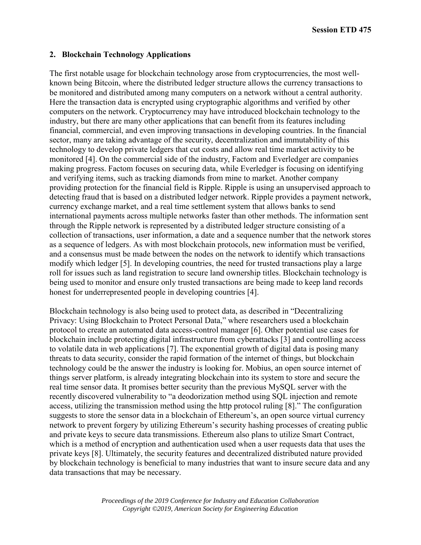### **2. Blockchain Technology Applications**

The first notable usage for blockchain technology arose from cryptocurrencies, the most wellknown being Bitcoin, where the distributed ledger structure allows the currency transactions to be monitored and distributed among many computers on a network without a central authority. Here the transaction data is encrypted using cryptographic algorithms and verified by other computers on the network. Cryptocurrency may have introduced blockchain technology to the industry, but there are many other applications that can benefit from its features including financial, commercial, and even improving transactions in developing countries. In the financial sector, many are taking advantage of the security, decentralization and immutability of this technology to develop private ledgers that cut costs and allow real time market activity to be monitored [4]. On the commercial side of the industry, Factom and Everledger are companies making progress. Factom focuses on securing data, while Everledger is focusing on identifying and verifying items, such as tracking diamonds from mine to market. Another company providing protection for the financial field is Ripple. Ripple is using an unsupervised approach to detecting fraud that is based on a distributed ledger network. Ripple provides a payment network, currency exchange market, and a real time settlement system that allows banks to send international payments across multiple networks faster than other methods. The information sent through the Ripple network is represented by a distributed ledger structure consisting of a collection of transactions, user information, a date and a sequence number that the network stores as a sequence of ledgers. As with most blockchain protocols, new information must be verified, and a consensus must be made between the nodes on the network to identify which transactions modify which ledger [5]. In developing countries, the need for trusted transactions play a large roll for issues such as land registration to secure land ownership titles. Blockchain technology is being used to monitor and ensure only trusted transactions are being made to keep land records honest for underrepresented people in developing countries [4].

Blockchain technology is also being used to protect data, as described in "Decentralizing Privacy: Using Blockchain to Protect Personal Data," where researchers used a blockchain protocol to create an automated data access-control manager [6]. Other potential use cases for blockchain include protecting digital infrastructure from cyberattacks [3] and controlling access to volatile data in web applications [7]. The exponential growth of digital data is posing many threats to data security, consider the rapid formation of the internet of things, but blockchain technology could be the answer the industry is looking for. Mobius, an open source internet of things server platform, is already integrating blockchain into its system to store and secure the real time sensor data. It promises better security than the previous MySQL server with the recently discovered vulnerability to "a deodorization method using SQL injection and remote access, utilizing the transmission method using the http protocol ruling [8]." The configuration suggests to store the sensor data in a blockchain of Ethereum's, an open source virtual currency network to prevent forgery by utilizing Ethereum's security hashing processes of creating public and private keys to secure data transmissions. Ethereum also plans to utilize Smart Contract, which is a method of encryption and authentication used when a user requests data that uses the private keys [8]. Ultimately, the security features and decentralized distributed nature provided by blockchain technology is beneficial to many industries that want to insure secure data and any data transactions that may be necessary.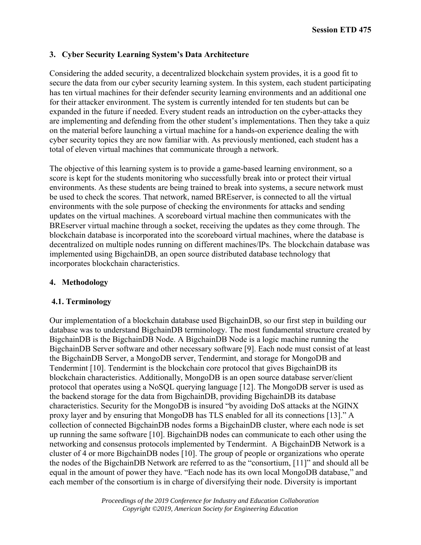# **3. Cyber Security Learning System's Data Architecture**

Considering the added security, a decentralized blockchain system provides, it is a good fit to secure the data from our cyber security learning system. In this system, each student participating has ten virtual machines for their defender security learning environments and an additional one for their attacker environment. The system is currently intended for ten students but can be expanded in the future if needed. Every student reads an introduction on the cyber-attacks they are implementing and defending from the other student's implementations. Then they take a quiz on the material before launching a virtual machine for a hands-on experience dealing the with cyber security topics they are now familiar with. As previously mentioned, each student has a total of eleven virtual machines that communicate through a network.

The objective of this learning system is to provide a game-based learning environment, so a score is kept for the students monitoring who successfully break into or protect their virtual environments. As these students are being trained to break into systems, a secure network must be used to check the scores. That network, named BREserver, is connected to all the virtual environments with the sole purpose of checking the environments for attacks and sending updates on the virtual machines. A scoreboard virtual machine then communicates with the BREserver virtual machine through a socket, receiving the updates as they come through. The blockchain database is incorporated into the scoreboard virtual machines, where the database is decentralized on multiple nodes running on different machines/IPs. The blockchain database was implemented using BigchainDB, an open source distributed database technology that incorporates blockchain characteristics.

# **4. Methodology**

# **4.1. Terminology**

Our implementation of a blockchain database used BigchainDB, so our first step in building our database was to understand BigchainDB terminology. The most fundamental structure created by BigchainDB is the BigchainDB Node. A BigchainDB Node is a logic machine running the BigchainDB Server software and other necessary software [9]. Each node must consist of at least the BigchainDB Server, a MongoDB server, Tendermint, and storage for MongoDB and Tendermint [10]. Tendermint is the blockchain core protocol that gives BigchainDB its blockchain characteristics. Additionally, MongoDB is an open source database server/client protocol that operates using a NoSQL querying language [12]. The MongoDB server is used as the backend storage for the data from BigchainDB, providing BigchainDB its database characteristics. Security for the MongoDB is insured "by avoiding DoS attacks at the NGINX proxy layer and by ensuring that MongoDB has TLS enabled for all its connections [13]." A collection of connected BigchainDB nodes forms a BigchainDB cluster, where each node is set up running the same software [10]. BigchainDB nodes can communicate to each other using the networking and consensus protocols implemented by Tendermint. A BigchainDB Network is a cluster of 4 or more BigchainDB nodes [10]. The group of people or organizations who operate the nodes of the BigchainDB Network are referred to as the "consortium, [11]" and should all be equal in the amount of power they have. "Each node has its own local MongoDB database," and each member of the consortium is in charge of diversifying their node. Diversity is important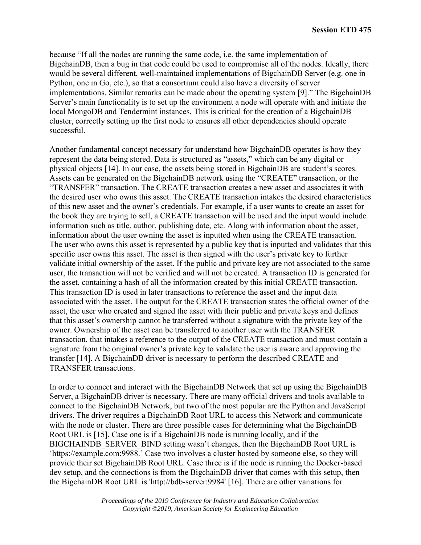because "If all the nodes are running the same code, i.e. the same implementation of BigchainDB, then a bug in that code could be used to compromise all of the nodes. Ideally, there would be several different, well-maintained implementations of BigchainDB Server (e.g. one in Python, one in Go, etc.), so that a consortium could also have a diversity of server implementations. Similar remarks can be made about the operating system [9]." The BigchainDB Server's main functionality is to set up the environment a node will operate with and initiate the local MongoDB and Tendermint instances. This is critical for the creation of a BigchainDB cluster, correctly setting up the first node to ensures all other dependencies should operate successful.

Another fundamental concept necessary for understand how BigchainDB operates is how they represent the data being stored. Data is structured as "assets," which can be any digital or physical objects [14]. In our case, the assets being stored in BigchainDB are student's scores. Assets can be generated on the BigchainDB network using the "CREATE" transaction, or the "TRANSFER" transaction. The CREATE transaction creates a new asset and associates it with the desired user who owns this asset. The CREATE transaction intakes the desired characteristics of this new asset and the owner's credentials. For example, if a user wants to create an asset for the book they are trying to sell, a CREATE transaction will be used and the input would include information such as title, author, publishing date, etc. Along with information about the asset, information about the user owning the asset is inputted when using the CREATE transaction. The user who owns this asset is represented by a public key that is inputted and validates that this specific user owns this asset. The asset is then signed with the user's private key to further validate initial ownership of the asset. If the public and private key are not associated to the same user, the transaction will not be verified and will not be created. A transaction ID is generated for the asset, containing a hash of all the information created by this initial CREATE transaction. This transaction ID is used in later transactions to reference the asset and the input data associated with the asset. The output for the CREATE transaction states the official owner of the asset, the user who created and signed the asset with their public and private keys and defines that this asset's ownership cannot be transferred without a signature with the private key of the owner. Ownership of the asset can be transferred to another user with the TRANSFER transaction, that intakes a reference to the output of the CREATE transaction and must contain a signature from the original owner's private key to validate the user is aware and approving the transfer [14]. A BigchainDB driver is necessary to perform the described CREATE and TRANSFER transactions.

In order to connect and interact with the BigchainDB Network that set up using the BigchainDB Server, a BigchainDB driver is necessary. There are many official drivers and tools available to connect to the BigchainDB Network, but two of the most popular are the Python and JavaScript drivers. The driver requires a BigchainDB Root URL to access this Network and communicate with the node or cluster. There are three possible cases for determining what the BigchainDB Root URL is [15]. Case one is if a BigchainDB node is running locally, and if the BIGCHAINDB\_SERVER\_BIND setting wasn't changes, then the BigchainDB Root URL is 'https://example.com:9988.' Case two involves a cluster hosted by someone else, so they will provide their set BigchainDB Root URL. Case three is if the node is running the Docker-based dev setup, and the connections is from the BigchainDB driver that comes with this setup, then the BigchainDB Root URL is 'http://bdb-server:9984' [16]. There are other variations for

> *Proceedings of the 2019 Conference for Industry and Education Collaboration Copyright ©2019, American Society for Engineering Education*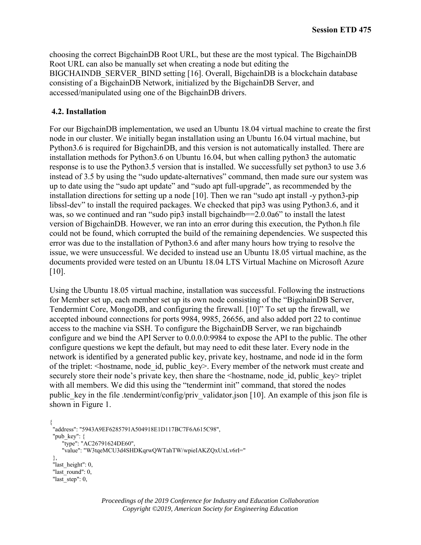choosing the correct BigchainDB Root URL, but these are the most typical. The BigchainDB Root URL can also be manually set when creating a node but editing the BIGCHAINDB SERVER BIND setting [16]. Overall, BigchainDB is a blockchain database consisting of a BigchainDB Network, initialized by the BigchainDB Server, and accessed/manipulated using one of the BigchainDB drivers.

### **4.2. Installation**

For our BigchainDB implementation, we used an Ubuntu 18.04 virtual machine to create the first node in our cluster. We initially began installation using an Ubuntu 16.04 virtual machine, but Python3.6 is required for BigchainDB, and this version is not automatically installed. There are installation methods for Python3.6 on Ubuntu 16.04, but when calling python3 the automatic response is to use the Python3.5 version that is installed. We successfully set python3 to use 3.6 instead of 3.5 by using the "sudo update-alternatives" command, then made sure our system was up to date using the "sudo apt update" and "sudo apt full-upgrade", as recommended by the installation directions for setting up a node [10]. Then we ran "sudo apt install -y python3-pip libssl-dev" to install the required packages. We checked that pip3 was using Python3.6, and it was, so we continued and ran "sudo pip3 install bigchaindb==2.0.0a6" to install the latest version of BigchainDB. However, we ran into an error during this execution, the Python.h file could not be found, which corrupted the build of the remaining dependencies. We suspected this error was due to the installation of Python3.6 and after many hours how trying to resolve the issue, we were unsuccessful. We decided to instead use an Ubuntu 18.05 virtual machine, as the documents provided were tested on an Ubuntu 18.04 LTS Virtual Machine on Microsoft Azure [10].

Using the Ubuntu 18.05 virtual machine, installation was successful. Following the instructions for Member set up, each member set up its own node consisting of the "BigchainDB Server, Tendermint Core, MongoDB, and configuring the firewall. [10]" To set up the firewall, we accepted inbound connections for ports 9984, 9985, 26656, and also added port 22 to continue access to the machine via SSH. To configure the BigchainDB Server, we ran bigchaindb configure and we bind the API Server to 0.0.0.0:9984 to expose the API to the public. The other configure questions we kept the default, but may need to edit these later. Every node in the network is identified by a generated public key, private key, hostname, and node id in the form of the triplet: <hostname, node\_id, public\_key>. Every member of the network must create and securely store their node's private key, then share the <hostname, node id, public key> triplet with all members. We did this using the "tendermint init" command, that stored the nodes public key in the file .tendermint/config/priv validator.json [10]. An example of this json file is shown in Figure 1.

```
{
 "address": "5943A9EF6285791A504918E1D117BC7F6A615C98",
"pub_key": \{"type": "AC26791624DE60",
     "value": "W3tqeMCU3d4SHDKqrwQWTahTW/wpieIAKZQxUxLv6rI="
 },
"last_height": 0,
"last_round": 0,
"last_step": 0,
```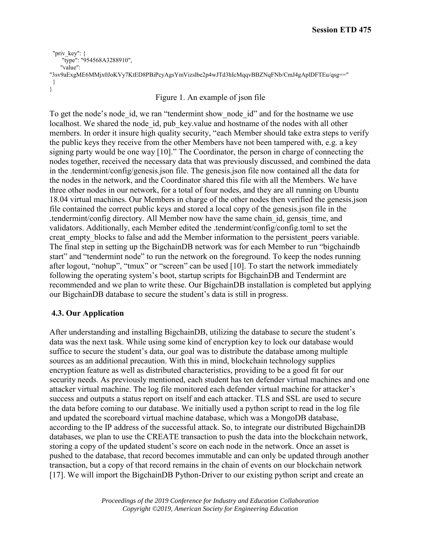```
 "priv_key": {
     "type": "954568A3288910",
    "value": 
"3sv9aExgME6MMjx0JoKVy7KtED8PBiPcyAgsYmVizslbe2p4wJTd3hIcMqqvBBZNqFNb/CmJ4gAplDFTEu/qsg=="
 }
}
```
### Figure 1. An example of json file

To get the node's node id, we ran "tendermint show node id" and for the hostname we use localhost. We shared the node id, pub key.value and hostname of the nodes with all other members. In order it insure high quality security, "each Member should take extra steps to verify the public keys they receive from the other Members have not been tampered with, e.g. a key signing party would be one way [10]." The Coordinator, the person in charge of connecting the nodes together, received the necessary data that was previously discussed, and combined the data in the .tendermint/config/genesis.json file. The genesis.json file now contained all the data for the nodes in the network, and the Coordinator shared this file with all the Members. We have three other nodes in our network, for a total of four nodes, and they are all running on Ubuntu 18.04 virtual machines. Our Members in charge of the other nodes then verified the genesis.json file contained the correct public keys and stored a local copy of the genesis.json file in the .tendermint/config directory. All Member now have the same chain\_id, gensis\_time, and validators. Additionally, each Member edited the .tendermint/config/config.toml to set the creat empty blocks to false and add the Member information to the persistent peers variable. The final step in setting up the BigchainDB network was for each Member to run "bigchaindb start" and "tendermint node" to run the network on the foreground. To keep the nodes running after logout, "nohup", "tmux" or "screen" can be used [10]. To start the network immediately following the operating system's boot, startup scripts for BigchainDB and Tendermint are recommended and we plan to write these. Our BigchainDB installation is completed but applying our BigchainDB database to secure the student's data is still in progress.

# **4.3. Our Application**

After understanding and installing BigchainDB, utilizing the database to secure the student's data was the next task. While using some kind of encryption key to lock our database would suffice to secure the student's data, our goal was to distribute the database among multiple sources as an additional precaution. With this in mind, blockchain technology supplies encryption feature as well as distributed characteristics, providing to be a good fit for our security needs. As previously mentioned, each student has ten defender virtual machines and one attacker virtual machine. The log file monitored each defender virtual machine for attacker's success and outputs a status report on itself and each attacker. TLS and SSL are used to secure the data before coming to our database. We initially used a python script to read in the log file and updated the scoreboard virtual machine database, which was a MongoDB database, according to the IP address of the successful attack. So, to integrate our distributed BigchainDB databases, we plan to use the CREATE transaction to push the data into the blockchain network, storing a copy of the updated student's score on each node in the network. Once an asset is pushed to the database, that record becomes immutable and can only be updated through another transaction, but a copy of that record remains in the chain of events on our blockchain network [17]. We will import the BigchainDB Python-Driver to our existing python script and create an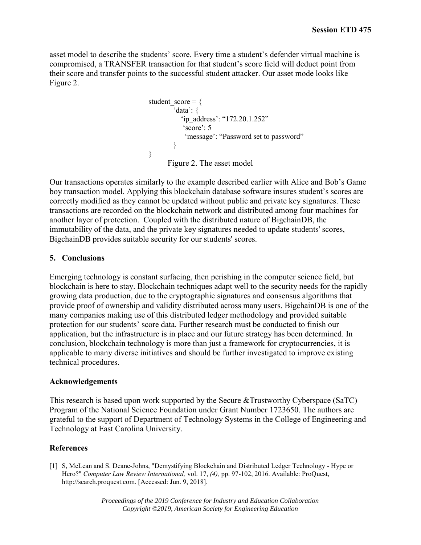asset model to describe the students' score. Every time a student's defender virtual machine is compromised, a TRANSFER transaction for that student's score field will deduct point from their score and transfer points to the successful student attacker. Our asset mode looks like Figure 2.

```
student score = \{'data': {
           'ip_address': "172.20.1.252"
            'score': 5
             'message': "Password set to password"
        }
}
      Figure 2. The asset model
```
Our transactions operates similarly to the example described earlier with Alice and Bob's Game boy transaction model. Applying this blockchain database software insures student's scores are correctly modified as they cannot be updated without public and private key signatures. These transactions are recorded on the blockchain network and distributed among four machines for another layer of protection. Coupled with the distributed nature of BigchainDB, the immutability of the data, and the private key signatures needed to update students' scores, BigchainDB provides suitable security for our students' scores.

### **5. Conclusions**

Emerging technology is constant surfacing, then perishing in the computer science field, but blockchain is here to stay. Blockchain techniques adapt well to the security needs for the rapidly growing data production, due to the cryptographic signatures and consensus algorithms that provide proof of ownership and validity distributed across many users. BigchainDB is one of the many companies making use of this distributed ledger methodology and provided suitable protection for our students' score data. Further research must be conducted to finish our application, but the infrastructure is in place and our future strategy has been determined. In conclusion, blockchain technology is more than just a framework for cryptocurrencies, it is applicable to many diverse initiatives and should be further investigated to improve existing technical procedures.

#### **Acknowledgements**

This research is based upon work supported by the Secure &Trustworthy Cyberspace (SaTC) Program of the National Science Foundation under Grant Number 1723650. The authors are grateful to the support of Department of Technology Systems in the College of Engineering and Technology at East Carolina University.

### **References**

[1] S, McLean and S. Deane-Johns, "Demystifying Blockchain and Distributed Ledger Technology - Hype or Hero?" *Computer Law Review International,* vol. 17, *(4),* pp. 97-102, 2016. Available: ProQuest, http://search.proquest.com. [Accessed: Jun. 9, 2018].

> *Proceedings of the 2019 Conference for Industry and Education Collaboration Copyright ©2019, American Society for Engineering Education*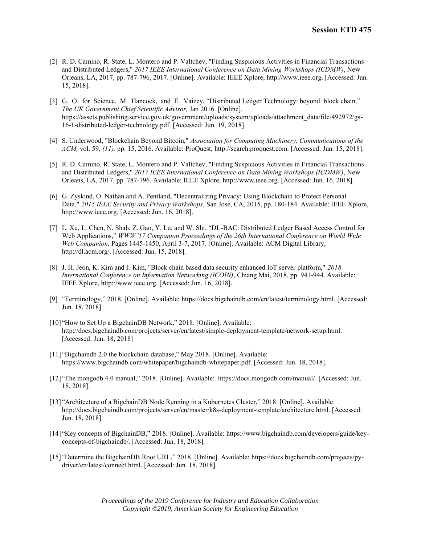- [2] R. D. Camino, R. State, L. Montero and P. Valtchev, "Finding Suspicious Activities in Financial Transactions and Distributed Ledgers," *2017 IEEE International Conference on Data Mining Workshops (ICDMW)*, New Orleans, LA, 2017, pp. 787-796, 2017. [Online]. Available: IEEE Xplore, http://www.ieee.org. [Accessed: Jun. 15, 2018].
- [3] G. O. for Science, M. Hancock, and E. Vaizey, "Distributed Ledger Technology: beyond block chain." *The UK Government Chief Scientific Advisor,* Jan 2016. [Online]. https://assets.publishing.service.gov.uk/government/uploads/system/uploads/attachment\_data/file/492972/gs-16-1-distributed-ledger-technology.pdf. [Accessed: Jun. 19, 2018].
- [4] S. Underwood, "Blockchain Beyond Bitcoin," *Association for Computing Machinery. Communications of the ACM,* vol. 59, *(11),* pp. 15, 2016. Available: ProQuest, http://search.proquest.com. [Accessed: Jun. 15, 2018].
- [5] R. D. Camino, R. State, L. Montero and P. Valtchev, "Finding Suspicious Activities in Financial Transactions and Distributed Ledgers," *2017 IEEE International Conference on Data Mining Workshops (ICDMW)*, New Orleans, LA, 2017, pp. 787-796. Available: IEEE Xplore, http://www.ieee.org. [Accessed: Jun. 16, 2018].
- [6] G. Zyskind, O. Nathan and A. Pentland, "Decentralizing Privacy: Using Blockchain to Protect Personal Data," *2015 IEEE Security and Privacy Workshops*, San Jose, CA, 2015, pp. 180-184. Available: IEEE Xplore, http://www.ieee.org. [Accessed: Jun. 16, 2018].
- [7] L. Xu, L. Chen, N. Shah, Z. Gao, Y. Lu, and W. Shi. "DL-BAC: Distributed Ledger Based Access Control for Web Applications," *WWW '17 Companion Proceedings of the 26th International Conference on World Wide Web Companion,* Pages 1445-1450, April 3-7, 2017. [Online]. Available: ACM Digital Library, http://dl.acm.org/. [Accessed: Jun. 15, 2018].
- [8] J. H. Jeon, K. Kim and J. Kim, "Block chain based data security enhanced IoT server platform," *2018 International Conference on Information Networking (ICOIN)*, Chiang Mai, 2018, pp. 941-944. Available: IEEE Xplore, http://www.ieee.org. [Accessed: Jun. 16, 2018].
- [9] "Terminology," 2018. [Online]. Available: https://docs.bigchaindb.com/en/latest/terminology.html. [Accessed: Jun. 18, 2018]
- [10] "How to Set Up a BigchainDB Network," 2018. [Online]. Available: http://docs.bigchaindb.com/projects/server/en/latest/simple-deployment-template/network-setup.html. [Accessed: Jun. 18, 2018]
- [11] "Bigchaindb 2.0 the blockchain database," May 2018. [Online]. Available: https://www.bigchaindb.com/whitepaper/bigchaindb-whitepaper.pdf. [Accessed: Jun. 18, 2018].
- [12] "The mongodb 4.0 manual," 2018. [Online]. Available: https://docs.mongodb.com/manual/. [Accessed: Jun. 18, 2018].
- [13] "Architecture of a BigchainDB Node Running in a Kubernetes Cluster," 2018. [Online]. Available: http://docs.bigchaindb.com/projects/server/en/master/k8s-deployment-template/architecture.html. [Accessed: Jun. 18, 2018].
- [14] "Key concepts of BigchainDB," 2018. [Online]. Available: https://www.bigchaindb.com/developers/guide/keyconcepts-of-bigchaindb/. [Accessed: Jun. 18, 2018].
- [15] "Determine the BigchainDB Root URL," 2018. [Online]. Available: https://docs.bigchaindb.com/projects/pydriver/en/latest/connect.html. [Accessed: Jun. 18, 2018].